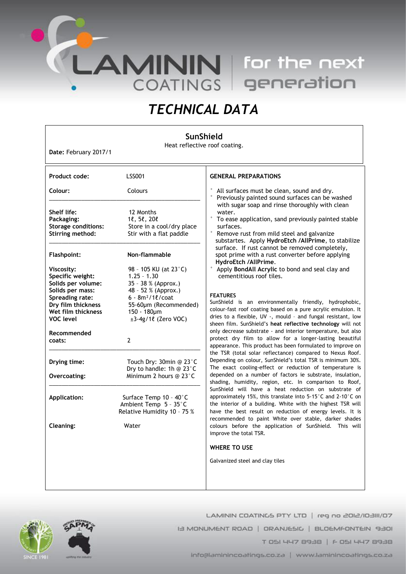**LAMININ** for the next<br>COATINGS generation

# *TECHNICAL DATA*

## **SunShield**

Heat reflective roof coating.

**Date:** February 2017/1

| Product code:                                                                                       | <b>LSS001</b>                                                                                              | <b>GENERAL PREPARATIONS</b>                                                                                                                                                                                                                                                                                                                                                                                                                                                                                                                                                                                                                                                                                                                                                                                                                                                                                                                                                                                                                                                                                                                                                                    |
|-----------------------------------------------------------------------------------------------------|------------------------------------------------------------------------------------------------------------|------------------------------------------------------------------------------------------------------------------------------------------------------------------------------------------------------------------------------------------------------------------------------------------------------------------------------------------------------------------------------------------------------------------------------------------------------------------------------------------------------------------------------------------------------------------------------------------------------------------------------------------------------------------------------------------------------------------------------------------------------------------------------------------------------------------------------------------------------------------------------------------------------------------------------------------------------------------------------------------------------------------------------------------------------------------------------------------------------------------------------------------------------------------------------------------------|
| Colour:                                                                                             | Colours                                                                                                    | All surfaces must be clean, sound and dry.<br>Previously painted sound surfaces can be washed                                                                                                                                                                                                                                                                                                                                                                                                                                                                                                                                                                                                                                                                                                                                                                                                                                                                                                                                                                                                                                                                                                  |
| Shelf life:<br>Packaging:<br><b>Storage conditions:</b><br>Stirring method:                         | 12 Months<br>$1\ell$ , $5\ell$ , $20\ell$<br>Store in a cool/dry place<br>Stir with a flat paddle          | with sugar soap and rinse thoroughly with clean<br>water.<br>$\circ$<br>To ease application, sand previously painted stable<br>surfaces.<br>$\circ$<br>Remove rust from mild steel and galvanize<br>substartes. Apply HydroEtch /AllPrime, to stabilize<br>surface. If rust cannot be removed completely,<br>spot prime with a rust converter before applying<br>HydroEtch /AllPrime.<br>Apply BondAll Acrylic to bond and seal clay and<br>cementitious roof tiles.<br><b>FEATURES</b><br>SunShield is an environmentally friendly, hydrophobic,<br>colour-fast roof coating based on a pure acrylic emulsion. It<br>dries to a flexible, UV -, mould - and fungal resistant, low<br>sheen film. SunShield's heat reflective technology will not<br>only decrease substrate - and interior temperature, but also<br>protect dry film to allow for a longer-lasting beautiful<br>appearance. This product has been formulated to improve on<br>the TSR (total solar reflectance) compared to Nexus Roof.<br>Depending on colour, SunShield's total TSR is minimum 30%.<br>The exact cooling-effect or reduction of temperature is<br>depended on a number of factors ie substrate, insulation, |
| <b>Flashpoint:</b><br>Viscosity:                                                                    | Non-flammable<br>98 - 105 KU (at 23°C)                                                                     |                                                                                                                                                                                                                                                                                                                                                                                                                                                                                                                                                                                                                                                                                                                                                                                                                                                                                                                                                                                                                                                                                                                                                                                                |
| Specific weight:<br>Solids per volume:                                                              | $1.25 - 1.30$<br>35 - 38 % (Approx.)                                                                       |                                                                                                                                                                                                                                                                                                                                                                                                                                                                                                                                                                                                                                                                                                                                                                                                                                                                                                                                                                                                                                                                                                                                                                                                |
| Solids per mass:<br>Spreading rate:<br>Dry film thickness<br>Wet film thickness<br><b>VOC level</b> | 48 - 52 % (Approx.)<br>$6 - 8m^2/10$ / coat<br>55-60µm (Recommended)<br>150 - 180µm<br>±3-4g/1ℓ (Zero VOC) |                                                                                                                                                                                                                                                                                                                                                                                                                                                                                                                                                                                                                                                                                                                                                                                                                                                                                                                                                                                                                                                                                                                                                                                                |
| Recommended<br>coats:                                                                               | $\overline{2}$                                                                                             |                                                                                                                                                                                                                                                                                                                                                                                                                                                                                                                                                                                                                                                                                                                                                                                                                                                                                                                                                                                                                                                                                                                                                                                                |
| Drying time:<br>Overcoating:                                                                        | Touch Dry: 30min @ 23°C<br>Dry to handle: 1h @ 23°C<br>Minimum 2 hours @ 23°C                              |                                                                                                                                                                                                                                                                                                                                                                                                                                                                                                                                                                                                                                                                                                                                                                                                                                                                                                                                                                                                                                                                                                                                                                                                |
|                                                                                                     |                                                                                                            | shading, humidity, region, etc. In comparison to Roof,<br>SunShield will have a heat reduction on substrate of                                                                                                                                                                                                                                                                                                                                                                                                                                                                                                                                                                                                                                                                                                                                                                                                                                                                                                                                                                                                                                                                                 |
| <b>Application:</b>                                                                                 | Surface Temp 10 - 40°C<br>Ambient Temp 5 - 35°C<br>Relative Humidity 10 - 75 %                             | approximately 15%, this translate into 5-15°C and 2-10°C on<br>the interior of a building. White with the highest TSR will<br>have the best result on reduction of energy levels. It is<br>recommended to paint White over stable, darker shades                                                                                                                                                                                                                                                                                                                                                                                                                                                                                                                                                                                                                                                                                                                                                                                                                                                                                                                                               |
| <b>Cleaning:</b>                                                                                    | Water                                                                                                      | colours before the application of SunShield. This will<br>improve the total TSR.                                                                                                                                                                                                                                                                                                                                                                                                                                                                                                                                                                                                                                                                                                                                                                                                                                                                                                                                                                                                                                                                                                               |
|                                                                                                     |                                                                                                            | <b>WHERE TO USE</b>                                                                                                                                                                                                                                                                                                                                                                                                                                                                                                                                                                                                                                                                                                                                                                                                                                                                                                                                                                                                                                                                                                                                                                            |
|                                                                                                     |                                                                                                            | Galvanized steel and clay tiles                                                                                                                                                                                                                                                                                                                                                                                                                                                                                                                                                                                                                                                                                                                                                                                                                                                                                                                                                                                                                                                                                                                                                                |
|                                                                                                     |                                                                                                            |                                                                                                                                                                                                                                                                                                                                                                                                                                                                                                                                                                                                                                                                                                                                                                                                                                                                                                                                                                                                                                                                                                                                                                                                |



LAMININ COATINGS PTY LTD | reg no 2012/103111/07 IS MONUMENT ROAD | ORANJESIC | BLOEMFONTEIN 9301 T 051 447 8938 | F 051 447 8938

info@laminincoatings.co.za | www.laminincoatings.co.za